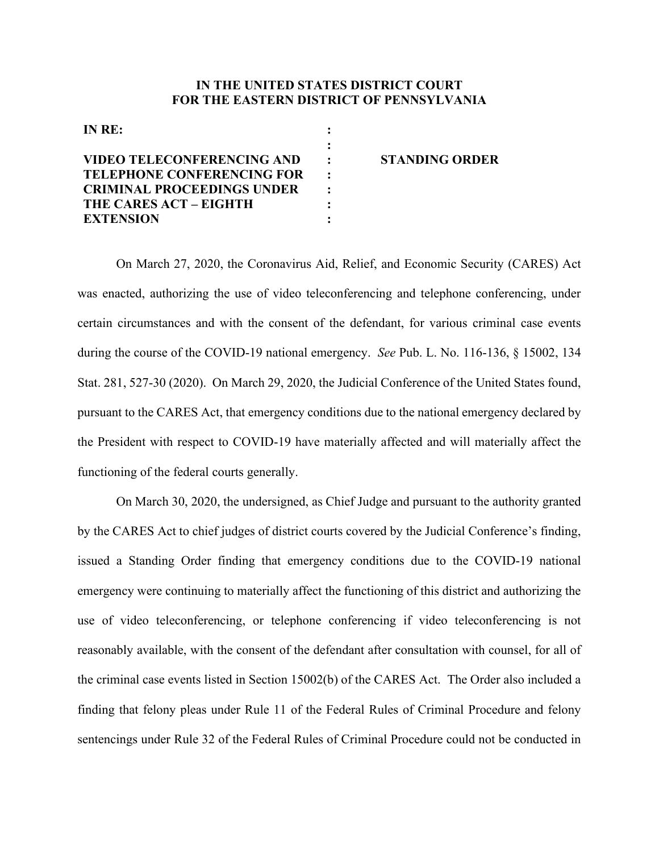## **IN THE UNITED STATES DISTRICT COURT FOR THE EASTERN DISTRICT OF PENNSYLVANIA**

| IN RE:                            |                       |
|-----------------------------------|-----------------------|
|                                   |                       |
| <b>VIDEO TELECONFERENCING AND</b> | <b>STANDING ORDER</b> |
| <b>TELEPHONE CONFERENCING FOR</b> |                       |
| <b>CRIMINAL PROCEEDINGS UNDER</b> |                       |
| THE CARES ACT – EIGHTH            |                       |
| <b>EXTENSION</b>                  |                       |

On March 27, 2020, the Coronavirus Aid, Relief, and Economic Security (CARES) Act was enacted, authorizing the use of video teleconferencing and telephone conferencing, under certain circumstances and with the consent of the defendant, for various criminal case events during the course of the COVID-19 national emergency. *See* Pub. L. No. 116-136, § 15002, 134 Stat. 281, 527-30 (2020). On March 29, 2020, the Judicial Conference of the United States found, pursuant to the CARES Act, that emergency conditions due to the national emergency declared by the President with respect to COVID-19 have materially affected and will materially affect the functioning of the federal courts generally.

On March 30, 2020, the undersigned, as Chief Judge and pursuant to the authority granted by the CARES Act to chief judges of district courts covered by the Judicial Conference's finding, issued a Standing Order finding that emergency conditions due to the COVID-19 national emergency were continuing to materially affect the functioning of this district and authorizing the use of video teleconferencing, or telephone conferencing if video teleconferencing is not reasonably available, with the consent of the defendant after consultation with counsel, for all of the criminal case events listed in Section 15002(b) of the CARES Act. The Order also included a finding that felony pleas under Rule 11 of the Federal Rules of Criminal Procedure and felony sentencings under Rule 32 of the Federal Rules of Criminal Procedure could not be conducted in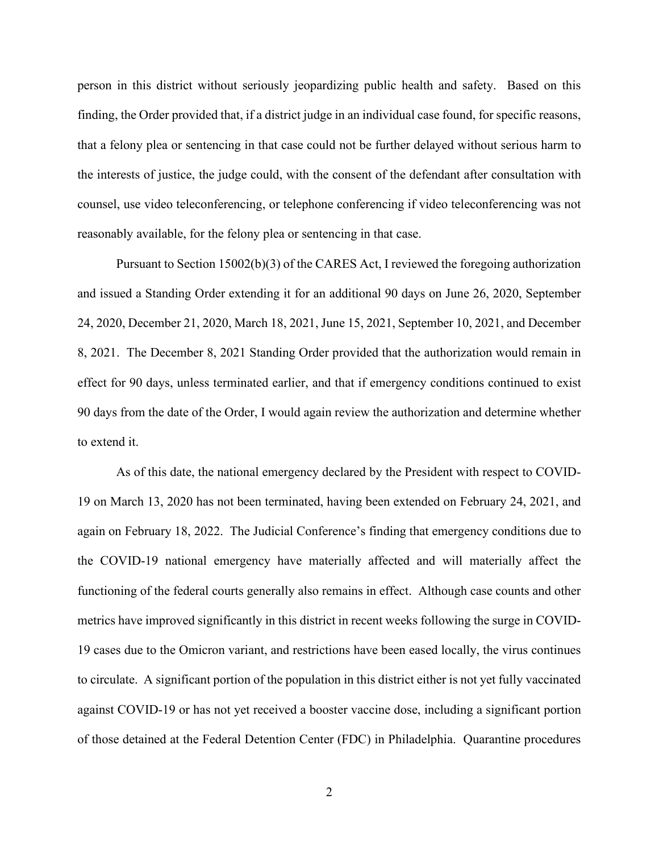person in this district without seriously jeopardizing public health and safety. Based on this finding, the Order provided that, if a district judge in an individual case found, for specific reasons, that a felony plea or sentencing in that case could not be further delayed without serious harm to the interests of justice, the judge could, with the consent of the defendant after consultation with counsel, use video teleconferencing, or telephone conferencing if video teleconferencing was not reasonably available, for the felony plea or sentencing in that case.

Pursuant to Section 15002(b)(3) of the CARES Act, I reviewed the foregoing authorization and issued a Standing Order extending it for an additional 90 days on June 26, 2020, September 24, 2020, December 21, 2020, March 18, 2021, June 15, 2021, September 10, 2021, and December 8, 2021. The December 8, 2021 Standing Order provided that the authorization would remain in effect for 90 days, unless terminated earlier, and that if emergency conditions continued to exist 90 days from the date of the Order, I would again review the authorization and determine whether to extend it.

As of this date, the national emergency declared by the President with respect to COVID-19 on March 13, 2020 has not been terminated, having been extended on February 24, 2021, and again on February 18, 2022. The Judicial Conference's finding that emergency conditions due to the COVID-19 national emergency have materially affected and will materially affect the functioning of the federal courts generally also remains in effect. Although case counts and other metrics have improved significantly in this district in recent weeks following the surge in COVID-19 cases due to the Omicron variant, and restrictions have been eased locally, the virus continues to circulate. A significant portion of the population in this district either is not yet fully vaccinated against COVID-19 or has not yet received a booster vaccine dose, including a significant portion of those detained at the Federal Detention Center (FDC) in Philadelphia. Quarantine procedures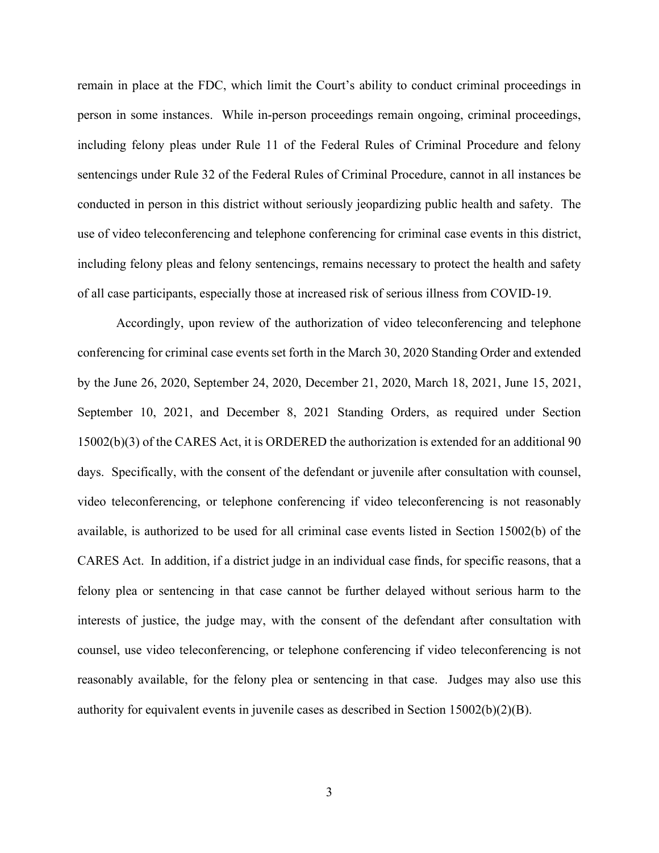remain in place at the FDC, which limit the Court's ability to conduct criminal proceedings in person in some instances. While in-person proceedings remain ongoing, criminal proceedings, including felony pleas under Rule 11 of the Federal Rules of Criminal Procedure and felony sentencings under Rule 32 of the Federal Rules of Criminal Procedure, cannot in all instances be conducted in person in this district without seriously jeopardizing public health and safety. The use of video teleconferencing and telephone conferencing for criminal case events in this district, including felony pleas and felony sentencings, remains necessary to protect the health and safety of all case participants, especially those at increased risk of serious illness from COVID-19.

Accordingly, upon review of the authorization of video teleconferencing and telephone conferencing for criminal case events set forth in the March 30, 2020 Standing Order and extended by the June 26, 2020, September 24, 2020, December 21, 2020, March 18, 2021, June 15, 2021, September 10, 2021, and December 8, 2021 Standing Orders, as required under Section 15002(b)(3) of the CARES Act, it is ORDERED the authorization is extended for an additional 90 days. Specifically, with the consent of the defendant or juvenile after consultation with counsel, video teleconferencing, or telephone conferencing if video teleconferencing is not reasonably available, is authorized to be used for all criminal case events listed in Section 15002(b) of the CARES Act. In addition, if a district judge in an individual case finds, for specific reasons, that a felony plea or sentencing in that case cannot be further delayed without serious harm to the interests of justice, the judge may, with the consent of the defendant after consultation with counsel, use video teleconferencing, or telephone conferencing if video teleconferencing is not reasonably available, for the felony plea or sentencing in that case. Judges may also use this authority for equivalent events in juvenile cases as described in Section 15002(b)(2)(B).